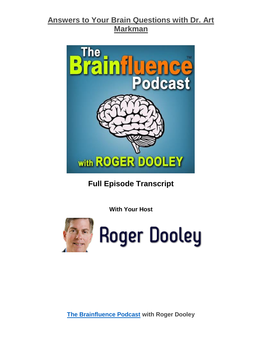

**Full Episode Transcript**

**With Your Host**



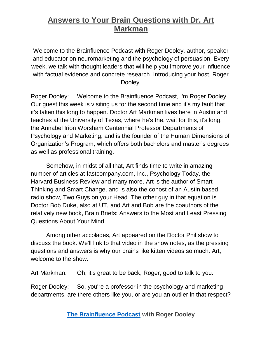Welcome to the Brainfluence Podcast with Roger Dooley, author, speaker and educator on neuromarketing and the psychology of persuasion. Every week, we talk with thought leaders that will help you improve your influence with factual evidence and concrete research. Introducing your host, Roger Dooley.

Roger Dooley: Welcome to the Brainfluence Podcast, I'm Roger Dooley. Our guest this week is visiting us for the second time and it's my fault that it's taken this long to happen. Doctor Art Markman lives here in Austin and teaches at the University of Texas, where he's the, wait for this, it's long, the Annabel Irion Worsham Centennial Professor Departments of Psychology and Marketing, and is the founder of the Human Dimensions of Organization's Program, which offers both bachelors and master's degrees as well as professional training.

Somehow, in midst of all that, Art finds time to write in amazing number of articles at fastcompany.com, Inc., Psychology Today, the Harvard Business Review and many more. Art is the author of Smart Thinking and Smart Change, and is also the cohost of an Austin based radio show, Two Guys on your Head. The other guy in that equation is Doctor Bob Duke, also at UT, and Art and Bob are the coauthors of the relatively new book, Brain Briefs: Answers to the Most and Least Pressing Questions About Your Mind.

Among other accolades, Art appeared on the Doctor Phil show to discuss the book. We'll link to that video in the show notes, as the pressing questions and answers is why our brains like kitten videos so much. Art, welcome to the show.

Art Markman: Oh, it's great to be back, Roger, good to talk to you.

Roger Dooley: So, you're a professor in the psychology and marketing departments, are there others like you, or are you an outlier in that respect?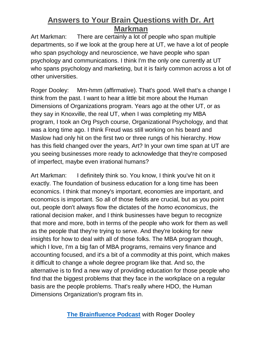Art Markman: There are certainly a lot of people who span multiple departments, so if we look at the group here at UT, we have a lot of people who span psychology and neuroscience, we have people who span psychology and communications. I think I'm the only one currently at UT who spans psychology and marketing, but it is fairly common across a lot of other universities.

Roger Dooley: Mm-hmm (affirmative). That's good. Well that's a change I think from the past. I want to hear a little bit more about the Human Dimensions of Organizations program. Years ago at the other UT, or as they say in Knoxville, the real UT, when I was completing my MBA program, I took an Org Psych course, Organizational Psychology, and that was a long time ago. I think Freud was still working on his beard and Maslow had only hit on the first two or three rungs of his hierarchy. How has this field changed over the years, Art? In your own time span at UT are you seeing businesses more ready to acknowledge that they're composed of imperfect, maybe even irrational humans?

Art Markman: I definitely think so. You know, I think you've hit on it exactly. The foundation of business education for a long time has been economics. I think that money's important, economies are important, and economics is important. So all of those fields are crucial, but as you point out, people don't always flow the dictates of the *homo economicus*, the rational decision maker, and I think businesses have begun to recognize that more and more, both in terms of the people who work for them as well as the people that they're trying to serve. And they're looking for new insights for how to deal with all of those folks. The MBA program though, which I love, I'm a big fan of MBA programs, remains very finance and accounting focused, and it's a bit of a commodity at this point, which makes it difficult to change a whole degree program like that. And so, the alternative is to find a new way of providing education for those people who find that the biggest problems that they face in the workplace on a regular basis are the people problems. That's really where HDO, the Human Dimensions Organization's program fits in.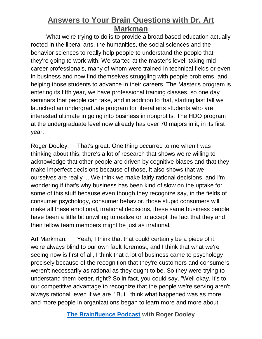What we're trying to do is to provide a broad based education actually rooted in the liberal arts, the humanities, the social sciences and the behavior sciences to really help people to understand the people that they're going to work with. We started at the master's level, taking midcareer professionals, many of whom were trained in technical fields or even in business and now find themselves struggling with people problems, and helping those students to advance in their careers. The Master's program is entering its fifth year, we have professional training classes, so one day seminars that people can take, and in addition to that, starting last fall we launched an undergraduate program for liberal arts students who are interested ultimate in going into business in nonprofits. The HDO program at the undergraduate level now already has over 70 majors in it, in its first year.

Roger Dooley: That's great. One thing occurred to me when I was thinking about this, there's a lot of research that shows we're willing to acknowledge that other people are driven by cognitive biases and that they make imperfect decisions because of those, it also shows that we ourselves are really ... We think we make fairly rational decisions, and I'm wondering if that's why business has been kind of slow on the uptake for some of this stuff because even though they recognize say, in the fields of consumer psychology, consumer behavior, those stupid consumers will make all these emotional, irrational decisions, these same business people have been a little bit unwilling to realize or to accept the fact that they and their fellow team members might be just as irrational.

Art Markman: Yeah, I think that that could certainly be a piece of it, we're always blind to our own fault foremost, and I think that what we're seeing now is first of all, I think that a lot of business came to psychology precisely because of the recognition that they're customers and consumers weren't necessarily as rational as they ought to be. So they were trying to understand them better, right? So in fact, you could say, "Well okay, it's to our competitive advantage to recognize that the people we're serving aren't always rational, even if we are." But I think what happened was as more and more people in organizations began to learn more and more about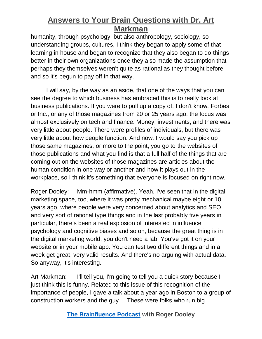humanity, through psychology, but also anthropology, sociology, so understanding groups, cultures, I think they began to apply some of that learning in house and began to recognize that they also began to do things better in their own organizations once they also made the assumption that perhaps they themselves weren't quite as rational as they thought before and so it's begun to pay off in that way.

I will say, by the way as an aside, that one of the ways that you can see the degree to which business has embraced this is to really look at business publications. If you were to pull up a copy of, I don't know, Forbes or Inc., or any of those magazines from 20 or 25 years ago, the focus was almost exclusively on tech and finance. Money, investments, and there was very little about people. There were profiles of individuals, but there was very little about how people function. And now, I would say you pick up those same magazines, or more to the point, you go to the websites of those publications and what you find is that a full half of the things that are coming out on the websites of those magazines are articles about the human condition in one way or another and how it plays out in the workplace, so I think it's something that everyone is focused on right now.

Roger Dooley: Mm-hmm (affirmative). Yeah, I've seen that in the digital marketing space, too, where it was pretty mechanical maybe eight or 10 years ago, where people were very concerned about analytics and SEO and very sort of rational type things and in the last probably five years in particular, there's been a real explosion of interested in influence psychology and cognitive biases and so on, because the great thing is in the digital marketing world, you don't need a lab. You've got it on your website or in your mobile app. You can test two different things and in a week get great, very valid results. And there's no arguing with actual data. So anyway, it's interesting.

Art Markman: I'll tell you, I'm going to tell you a quick story because I just think this is funny. Related to this issue of this recognition of the importance of people, I gave a talk about a year ago in Boston to a group of construction workers and the guy ... These were folks who run big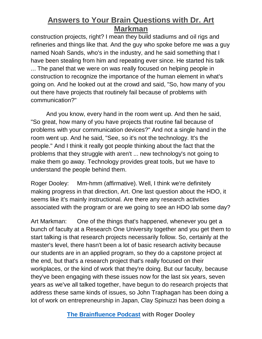construction projects, right? I mean they build stadiums and oil rigs and refineries and things like that. And the guy who spoke before me was a guy named Noah Sands, who's in the industry, and he said something that I have been stealing from him and repeating ever since. He started his talk ... The panel that we were on was really focused on helping people in construction to recognize the importance of the human element in what's going on. And he looked out at the crowd and said, "So, how many of you out there have projects that routinely fail because of problems with communication?"

And you know, every hand in the room went up. And then he said, "So great, how many of you have projects that routine fail because of problems with your communication devices?" And not a single hand in the room went up. And he said, "See, so it's not the technology. It's the people." And I think it really got people thinking about the fact that the problems that they struggle with aren't ... new technology's not going to make them go away. Technology provides great tools, but we have to understand the people behind them.

Roger Dooley: Mm-hmm (affirmative). Well, I think we're definitely making progress in that direction, Art. One last question about the HDO, it seems like it's mainly instructional. Are there any research activities associated with the program or are we going to see an HDO lab some day?

Art Markman: One of the things that's happened, whenever you get a bunch of faculty at a Research One University together and you get them to start talking is that research projects necessarily follow. So, certainly at the master's level, there hasn't been a lot of basic research activity because our students are in an applied program, so they do a capstone project at the end, but that's a research project that's really focused on their workplaces, or the kind of work that they're doing. But our faculty, because they've been engaging with these issues now for the last six years, seven years as we've all talked together, have begun to do research projects that address these same kinds of issues, so John Traphagan has been doing a lot of work on entrepreneurship in Japan, Clay Spinuzzi has been doing a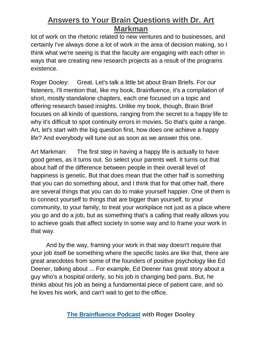lot of work on the rhetoric related to new ventures and to businesses, and certainly I've always done a lot of work in the area of decision making, so I think what we're seeing is that the faculty are engaging with each other in ways that are creating new research projects as a result of the programs existence.

Roger Dooley: Great. Let's talk a little bit about Brain Briefs. For our listeners, I'll mention that, like my book, Brainfluence, it's a compilation of short, mostly standalone chapters, each one focused on a topic and offering research based insights. Unlike my book, though, Brain Brief focuses on all kinds of questions, ranging from the secret to a happy life to why it's difficult to spot continuity errors in movies. So that's quite a range. Art, let's start with the big question first, how does one achieve a happy life? And everybody will tune out as soon as we answer this one.

Art Markman: The first step in having a happy life is actually to have good genes, as it turns out. So select your parents well. It turns out that about half of the difference between people in their overall level of happiness is genetic. But that does mean that the other half is something that you can do something about, and I think that for that other half, there are several things that you can do to make yourself happier. One of them is to connect yourself to things that are bigger than yourself, to your community, to your family, to treat your workplace not just as a place where you go and do a job, but as something that's a calling that really allows you to achieve goals that affect society in some way and to frame your work in that way.

And by the way, framing your work in that way doesn't require that your job itself be something where the specific tasks are like that, there are great anecdotes from some of the founders of positive psychology like Ed Deener, talking about ... For example, Ed Deener has great story about a guy who's a hospital orderly, so his job is changing bed pans. But, he thinks about his job as being a fundamental piece of patient care, and so he loves his work, and can't wait to get to the office.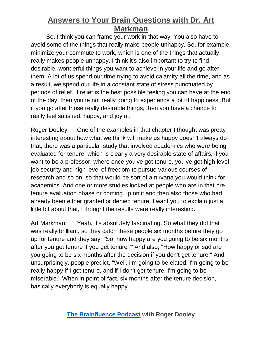So, I think you can frame your work in that way. You also have to avoid some of the things that really make people unhappy. So, for example, minimize your commute to work, which is one of the things that actually really makes people unhappy. I think it's also important to try to find desirable, wonderful things you want to achieve in your life and go after them. A lot of us spend our time trying to avoid calamity all the time, and as a result, we spend our life in a constant state of stress punctuated by periods of relief. If relief is the best possible feeling you can have at the end of the day, then you're not really going to experience a lot of happiness. But if you go after those really desirable things, then you have a chance to really feel satisfied, happy, and joyful.

Roger Dooley: One of the examples in that chapter I thought was pretty interesting about how what we think will make us happy doesn't always do that, there was a particular study that involved academics who were being evaluated for tenure, which is clearly a very desirable state of affairs, if you want to be a professor, where once you've got tenure, you've got high level job security and high level of freedom to pursue various courses of research and so on, so that would be sort of a nirvana you would think for academics. And one or more studies looked at people who are in that pre tenure evaluation phase or coming up on it and then also those who had already been either granted or denied tenure, I want you to explain just a little bit about that, I thought the results were really interesting.

Art Markman: Yeah, it's absolutely fascinating. So what they did that was really brilliant, so they catch these people six months before they go up for tenure and they say, "So, how happy are you going to be six months after you get tenure if you get tenure?" And also, "How happy or sad are you going to be six months after the decision if you don't get tenure." And unsurprisingly, people predict, "Well, I'm going to be elated, I'm going to be really happy if I get tenure, and if I don't get tenure, I'm going to be miserable." When in point of fact, six months after the tenure decision, basically everybody is equally happy.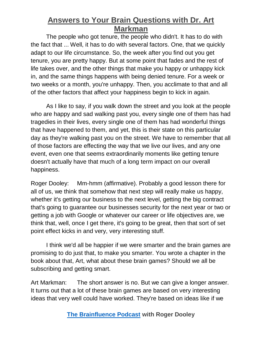The people who got tenure, the people who didn't. It has to do with the fact that ... Well, it has to do with several factors. One, that we quickly adapt to our life circumstance. So, the week after you find out you get tenure, you are pretty happy. But at some point that fades and the rest of life takes over, and the other things that make you happy or unhappy kick in, and the same things happens with being denied tenure. For a week or two weeks or a month, you're unhappy. Then, you acclimate to that and all of the other factors that affect your happiness begin to kick in again.

As I like to say, if you walk down the street and you look at the people who are happy and sad walking past you, every single one of them has had tragedies in their lives, every single one of them has had wonderful things that have happened to them, and yet, this is their state on this particular day as they're walking past you on the street. We have to remember that all of those factors are effecting the way that we live our lives, and any one event, even one that seems extraordinarily moments like getting tenure doesn't actually have that much of a long term impact on our overall happiness.

Roger Dooley: Mm-hmm (affirmative). Probably a good lesson there for all of us, we think that somehow that next step will really make us happy, whether it's getting our business to the next level, getting the big contract that's going to guarantee our businesses security for the next year or two or getting a job with Google or whatever our career or life objectives are, we think that, well, once I get there, it's going to be great, then that sort of set point effect kicks in and very, very interesting stuff.

I think we'd all be happier if we were smarter and the brain games are promising to do just that, to make you smarter. You wrote a chapter in the book about that, Art, what about these brain games? Should we all be subscribing and getting smart.

Art Markman: The short answer is no. But we can give a longer answer. It turns out that a lot of these brain games are based on very interesting ideas that very well could have worked. They're based on ideas like if we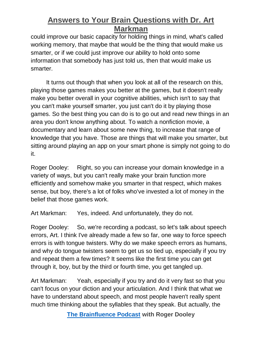could improve our basic capacity for holding things in mind, what's called working memory, that maybe that would be the thing that would make us smarter, or if we could just improve our ability to hold onto some information that somebody has just told us, then that would make us smarter.

It turns out though that when you look at all of the research on this, playing those games makes you better at the games, but it doesn't really make you better overall in your cognitive abilities, which isn't to say that you can't make yourself smarter, you just can't do it by playing those games. So the best thing you can do is to go out and read new things in an area you don't know anything about. To watch a nonfiction movie, a documentary and learn about some new thing, to increase that range of knowledge that you have. Those are things that will make you smarter, but sitting around playing an app on your smart phone is simply not going to do it.

Roger Dooley: Right, so you can increase your domain knowledge in a variety of ways, but you can't really make your brain function more efficiently and somehow make you smarter in that respect, which makes sense, but boy, there's a lot of folks who've invested a lot of money in the belief that those games work.

Art Markman: Yes, indeed. And unfortunately, they do not.

Roger Dooley: So, we're recording a podcast, so let's talk about speech errors, Art. I think I've already made a few so far, one way to force speech errors is with tongue twisters. Why do we make speech errors as humans, and why do tongue twisters seem to get us so tied up, especially if you try and repeat them a few times? It seems like the first time you can get through it, boy, but by the third or fourth time, you get tangled up.

Art Markman: Yeah, especially if you try and do it very fast so that you can't focus on your diction and your articulation. And I think that what we have to understand about speech, and most people haven't really spent much time thinking about the syllables that they speak. But actually, the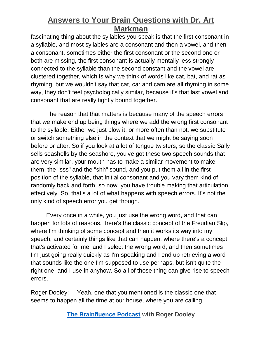fascinating thing about the syllables you speak is that the first consonant in a syllable, and most syllables are a consonant and then a vowel, and then a consonant, sometimes either the first consonant or the second one or both are missing, the first consonant is actually mentally less strongly connected to the syllable than the second constant and the vowel are clustered together, which is why we think of words like cat, bat, and rat as rhyming, but we wouldn't say that cat, car and cam are all rhyming in some way, they don't feel psychologically similar, because it's that last vowel and consonant that are really tightly bound together.

The reason that that matters is because many of the speech errors that we make end up being things where we add the wrong first consonant to the syllable. Either we just blow it, or more often than not, we substitute or switch something else in the context that we might be saying soon before or after. So if you look at a lot of tongue twisters, so the classic Sally sells seashells by the seashore, you've got these two speech sounds that are very similar, your mouth has to make a similar movement to make them, the "sss" and the "shh" sound, and you put them all in the first position of the syllable, that initial consonant and you vary them kind of randomly back and forth, so now, you have trouble making that articulation effectively. So, that's a lot of what happens with speech errors. It's not the only kind of speech error you get though.

Every once in a while, you just use the wrong word, and that can happen for lots of reasons, there's the classic concept of the Freudian Slip, where I'm thinking of some concept and then it works its way into my speech, and certainly things like that can happen, where there's a concept that's activated for me, and I select the wrong word, and then sometimes I'm just going really quickly as I'm speaking and I end up retrieving a word that sounds like the one I'm supposed to use perhaps, but isn't quite the right one, and I use in anyhow. So all of those thing can give rise to speech errors.

Roger Dooley: Yeah, one that you mentioned is the classic one that seems to happen all the time at our house, where you are calling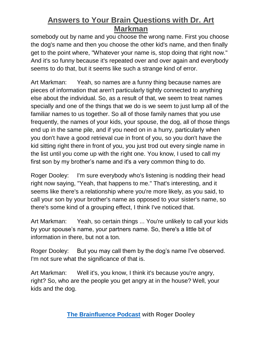somebody out by name and you choose the wrong name. First you choose the dog's name and then you choose the other kid's name, and then finally get to the point where, "Whatever your name is, stop doing that right now." And it's so funny because it's repeated over and over again and everybody seems to do that, but it seems like such a strange kind of error.

Art Markman: Yeah, so names are a funny thing because names are pieces of information that aren't particularly tightly connected to anything else about the individual. So, as a result of that, we seem to treat names specially and one of the things that we do is we seem to just lump all of the familiar names to us together. So all of those family names that you use frequently, the names of your kids, your spouse, the dog, all of those things end up in the same pile, and if you need on in a hurry, particularly when you don't have a good retrieval cue in front of you, so you don't have the kid sitting right there in front of you, you just trod out every single name in the list until you come up with the right one. You know, I used to call my first son by my brother's name and it's a very common thing to do.

Roger Dooley: I'm sure everybody who's listening is nodding their head right now saying, "Yeah, that happens to me." That's interesting, and it seems like there's a relationship where you're more likely, as you said, to call your son by your brother's name as opposed to your sister's name, so there's some kind of a grouping effect, I think I've noticed that.

Art Markman: Yeah, so certain things ... You're unlikely to call your kids by your spouse's name, your partners name. So, there's a little bit of information in there, but not a ton.

Roger Dooley: But you may call them by the dog's name I've observed. I'm not sure what the significance of that is.

Art Markman: Well it's, you know, I think it's because you're angry, right? So, who are the people you get angry at in the house? Well, your kids and the dog.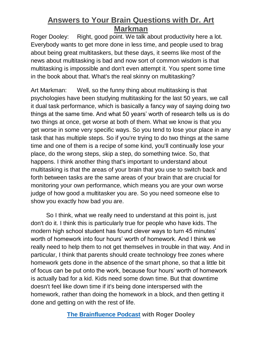Roger Dooley: Right, good point. We talk about productivity here a lot. Everybody wants to get more done in less time, and people used to brag about being great multitaskers, but these days, it seems like most of the news about multitasking is bad and now sort of common wisdom is that multitasking is impossible and don't even attempt it. You spent some time in the book about that. What's the real skinny on multitasking?

Art Markman: Well, so the funny thing about multitasking is that psychologies have been studying multitasking for the last 50 years, we call it dual task performance, which is basically a fancy way of saying doing two things at the same time. And what 50 years' worth of research tells us is do two things at once, get worse at both of them. What we know is that you get worse in some very specific ways. So you tend to lose your place in any task that has multiple steps. So if you're trying to do two things at the same time and one of them is a recipe of some kind, you'll continually lose your place, do the wrong steps, skip a step, do something twice. So, that happens. I think another thing that's important to understand about multitasking is that the areas of your brain that you use to switch back and forth between tasks are the same areas of your brain that are crucial for monitoring your own performance, which means you are your own worse judge of how good a multitasker you are. So you need someone else to show you exactly how bad you are.

So I think, what we really need to understand at this point is, just don't do it. I think this is particularly true for people who have kids. The modern high school student has found clever ways to turn 45 minutes' worth of homework into four hours' worth of homework. And I think we really need to help them to not get themselves in trouble in that way. And in particular, I think that parents should create technology free zones where homework gets done in the absence of the smart phone, so that a little bit of focus can be put onto the work, because four hours' worth of homework is actually bad for a kid. Kids need some down time. But that downtime doesn't feel like down time if it's being done interspersed with the homework, rather than doing the homework in a block, and then getting it done and getting on with the rest of life.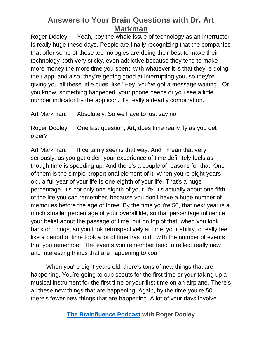Roger Dooley: Yeah, boy the whole issue of technology as an interrupter is really huge these days. People are finally recognizing that the companies that offer some of these technologies are doing their best to make their technology both very sticky, even addictive because they tend to make more money the more time you spend with whatever it is that they're doing, their app, and also, they're getting good at interrupting you, so they're giving you all these little cues, like "Hey, you've got a message waiting." Or you know, something happened, your phone beeps or you see a little number indicator by the app icon. It's really a deadly combination.

Art Markman: Absolutely. So we have to just say no.

Roger Dooley: One last question, Art, does time really fly as you get older?

Art Markman: It certainly seems that way. And I mean that very seriously, as you get older, your experience of time definitely feels as though time is speeding up. And there's a couple of reasons for that. One of them is the simple proportional element of it. When you're eight years old, a full year of your life is one eighth of your life. That's a huge percentage. It's not only one eighth of your life, it's actually about one fifth of the life you can remember, because you don't have a huge number of memories before the age of three. By the time you're 50, that next year is a much smaller percentage of your overall life, so that percentage influence your belief about the passage of time, but on top of that, when you look back on things, so you look retrospectively at time, your ability to really feel like a period of time took a lot of time has to do with the number of events that you remember. The events you remember tend to reflect really new and interesting things that are happening to you.

When you're eight years old, there's tons of new things that are happening. You're going to cub scouts for the first time or your taking up a musical instrument for the first time or your first time on an airplane. There's all these new things that are happening. Again, by the time you're 50, there's fewer new things that are happening. A lot of your days involve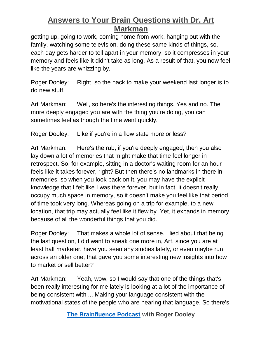getting up, going to work, coming home from work, hanging out with the family, watching some television, doing these same kinds of things, so, each day gets harder to tell apart in your memory, so it compresses in your memory and feels like it didn't take as long. As a result of that, you now feel like the years are whizzing by.

Roger Dooley: Right, so the hack to make your weekend last longer is to do new stuff.

Art Markman: Well, so here's the interesting things. Yes and no. The more deeply engaged you are with the thing you're doing, you can sometimes feel as though the time went quickly.

Roger Dooley: Like if you're in a flow state more or less?

Art Markman: Here's the rub, if you're deeply engaged, then you also lay down a lot of memories that might make that time feel longer in retrospect. So, for example, sitting in a doctor's waiting room for an hour feels like it takes forever, right? But then there's no landmarks in there in memories, so when you look back on it, you may have the explicit knowledge that I felt like I was there forever, but in fact, it doesn't really occupy much space in memory, so it doesn't make you feel like that period of time took very long. Whereas going on a trip for example, to a new location, that trip may actually feel like it flew by. Yet, it expands in memory because of all the wonderful things that you did.

Roger Dooley: That makes a whole lot of sense. I lied about that being the last question, I did want to sneak one more in, Art, since you are at least half marketer, have you seen any studies lately, or even maybe run across an older one, that gave you some interesting new insights into how to market or sell better?

Art Markman: Yeah, wow, so I would say that one of the things that's been really interesting for me lately is looking at a lot of the importance of being consistent with ... Making your language consistent with the motivational states of the people who are hearing that language. So there's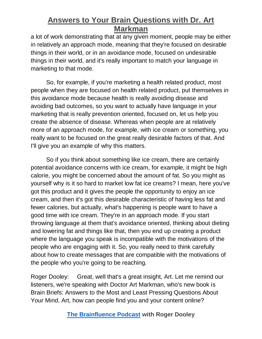a lot of work demonstrating that at any given moment, people may be either in relatively an approach mode, meaning that they're focused on desirable things in their world, or in an avoidance mode, focused on undesirable things in their world, and it's really important to match your language in marketing to that mode.

So, for example, if you're marketing a health related product, most people when they are focused on health related product, put themselves in this avoidance mode because health is really avoiding disease and avoiding bad outcomes, so you want to actually have language in your marketing that is really prevention oriented, focused on, let us help you create the absence of disease. Whereas when people are at relatively more of an approach mode, for example, with ice cream or something, you really want to be focused on the great really desirable factors of that. And I'll give you an example of why this matters.

So if you think about something like ice cream, there are certainly potential avoidance concerns with ice cream, for example, it might be high calorie, you might be concerned about the amount of fat. So you might as yourself why is it so hard to market low fat ice creams? I mean, here you've got this product and it gives the people the opportunity to enjoy an ice cream, and then it's got this desirable characteristic of having less fat and fewer calories, but actually, what's happening is people want to have a good time with ice cream. They're in an approach mode. If you start throwing language at them that's avoidance oriented, thinking about dieting and lowering fat and things like that, then you end up creating a product where the language you speak is incompatible with the motivations of the people who are engaging with it. So, you really need to think carefully about how to create messages that are compatible with the motivations of the people who you're going to be reaching.

Roger Dooley: Great, well that's a great insight, Art. Let me remind our listeners, we're speaking with Doctor Art Markman, who's new book is Brain Briefs: Answers to the Most and Least Pressing Questions About Your Mind. Art, how can people find you and your content online?